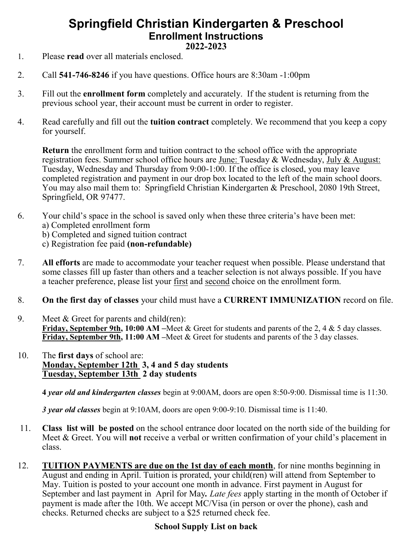## **Springfield Christian Kindergarten & Preschool Enrollment Instructions 2022-2023**

- 1. Please **read** over all materials enclosed.
- 2. Call **541-746-8246** if you have questions. Office hours are 8:30am -1:00pm
- 3. Fill out the **enrollment form** completely and accurately. If the student is returning from the previous school year, their account must be current in order to register.
- 4. Read carefully and fill out the **tuition contract** completely. We recommend that you keep a copy for yourself.

**Return** the enrollment form and tuition contract to the school office with the appropriate registration fees. Summer school office hours are June: Tuesday & Wednesday, July & August: Tuesday, Wednesday and Thursday from 9:00-1:00. If the office is closed, you may leave completed registration and payment in our drop box located to the left of the main school doors. You may also mail them to: Springfield Christian Kindergarten & Preschool, 2080 19th Street, Springfield, OR 97477.

- 6. Your child's space in the school is saved only when these three criteria's have been met: a) Completed enrollment form
	-
	- b) Completed and signed tuition contract
	- c) Registration fee paid **(non-refundable)**
- 7. **All efforts** are made to accommodate your teacher request when possible. Please understand that some classes fill up faster than others and a teacher selection is not always possible. If you have a teacher preference, please list your first and second choice on the enrollment form.
- 8. **On the first day of classes** your child must have a **CURRENT IMMUNIZATION** record on file.
- 9. Meet & Greet for parents and child(ren): **Friday, September 9th, 10:00 AM –**Meet & Greet for students and parents of the 2, 4 & 5 day classes. **Friday, September 9th, 11:00 AM –**Meet & Greet for students and parents of the 3 day classes.
- 10. The **first days** of school are: **Monday, September 12th 3, 4 and 5 day students Tuesday, September 13th 2 day students**

**4** *year old and kindergarten classes* begin at 9:00AM, doors are open 8:50-9:00. Dismissal time is 11:30.

*3 year old classes* begin at 9:10AM, doors are open 9:00-9:10. Dismissal time is 11:40.

- 11. **Class list will be posted** on the school entrance door located on the north side of the building for Meet & Greet. You will **not** receive a verbal or written confirmation of your child's placement in class.
- 12. **TUITION PAYMENTS are due on the 1st day of each month**, for nine months beginning in August and ending in April. Tuition is prorated, your child(ren) will attend from September to May. Tuition is posted to your account one month in advance. First payment in August for September and last payment in April for May*. Late fees* apply starting in the month of October if payment is made after the 10th. We accept MC/Visa (in person or over the phone), cash and checks. Returned checks are subject to a \$25 returned check fee.

### **School Supply List on back**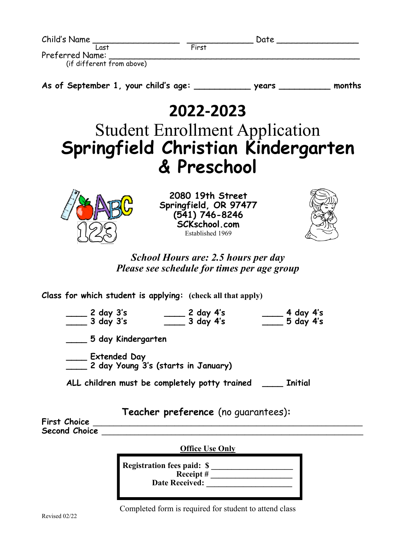| First |                                      |                   |
|-------|--------------------------------------|-------------------|
|       |                                      |                   |
|       |                                      |                   |
|       |                                      |                   |
|       | <b>years</b>                         | months            |
|       |                                      |                   |
|       |                                      |                   |
|       |                                      |                   |
|       | As of September 1, your child's age: | Date<br>2022-2023 |

## Student Enrollment Application **Springfield Christian Kindergarten & Preschool**



**2080 19th Street Springfield, OR 97477 (541) 746-8246 SCKschool.com** Established 1969



*School Hours are: 2.5 hours per day Please see schedule for times per age group*

**Class for which student is applying: (check all that apply)**

**\_\_\_\_ 2 day 3's \_\_\_\_ 2 day 4's \_\_\_\_ 4 day 4's \_\_\_\_ 3 day 3's \_\_\_\_ 3 day 4's \_\_\_\_ 5 day 4's**

**\_\_\_\_ 5 day Kindergarten**

**\_\_\_\_ Extended Day \_\_\_\_ 2 day Young 3's (starts in January)**

**ALL children must be completely potty trained \_\_\_\_ Initial**

**Teacher preference** (no guarantees)**:**

**First Choice \_\_\_\_\_\_\_\_\_\_\_\_\_\_\_\_\_\_\_\_\_\_\_\_\_\_\_\_\_\_\_\_\_\_\_\_\_\_\_\_\_\_\_\_\_\_\_\_\_\_\_\_\_\_\_\_\_\_\_\_\_\_\_\_\_\_ Second Choice \_\_\_\_\_\_\_\_\_\_\_\_\_\_\_\_\_\_\_\_\_\_\_\_\_\_\_\_\_\_\_\_\_\_\_\_\_\_\_\_\_\_\_\_\_\_\_\_\_\_\_\_\_\_\_\_\_\_\_\_\_\_\_\_**

**Office Use Only**

| <b>Registration fees paid: \$</b> |  |
|-----------------------------------|--|
| Receipt#                          |  |
| <b>Date Received:</b>             |  |
|                                   |  |

Completed form is required for student to attend class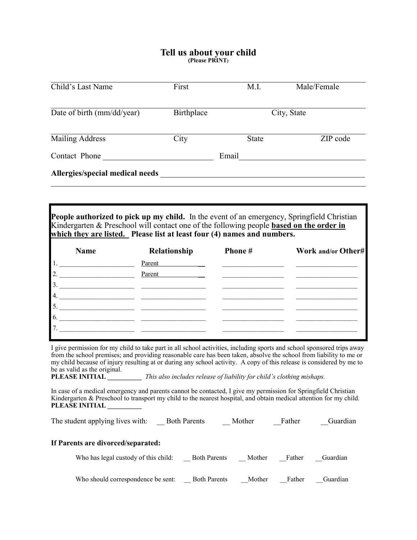#### **Tell us about your child (Please PRINT)**

| Child's Last Name               | First      | M.I.         | Male/Female |
|---------------------------------|------------|--------------|-------------|
| Date of birth (mm/dd/year)      | Birthplace |              | City, State |
| <b>Mailing Address</b>          | City       | <b>State</b> | ZIP code    |
| Contact Phone                   |            | Email        |             |
| Allergies/special medical needs |            |              |             |

**People authorized to pick up my child.** In the event of an emergency, Springfield Christian Kindergarten & Preschool will contact one of the following people **based on the order in which they are listed. Please list at least four (4) names and numbers.**

| <b>Name</b>      | Relationship | Phone# | Work and/or Other# |
|------------------|--------------|--------|--------------------|
| 1.               | Parent       |        |                    |
| $\overline{2}$ . | Parent       |        |                    |
| 3.               |              |        |                    |
| 4.               |              |        |                    |
| $\overline{5}$ . |              |        |                    |
| 6.               |              |        |                    |
| 7.               |              |        |                    |
|                  |              |        |                    |

I give permission for my child to take part in all school activities, including sports and school sponsored trips away from the school premises; and providing reasonable care has been taken, absolve the school from liability to me or my child because of injury resulting at or during any school activity. A copy of this release is considered by me to be as valid as the original.

**PLEASE INITIAL \_\_\_\_\_\_\_\_\_\_** *This also includes release of liability for child's clothing mishaps.*

In case of a medical emergency and parents cannot be contacted, I give my permission for Springfield Christian Kindergarten & Preschool to transport my child to the nearest hospital, and obtain medical attention for my child. **PLEASE INITIAL \_\_\_\_\_\_\_\_\_\_**

| The student applying lives with:     | <b>Both Parents</b> | Mother | Father | Guardian |
|--------------------------------------|---------------------|--------|--------|----------|
| If Parents are divorced/separated:   |                     |        |        |          |
| Who has legal custody of this child: | <b>Both Parents</b> | Mother | Father | Guardian |
| Who should correspondence be sent:   | <b>Both Parents</b> | Mother | Father | Guardian |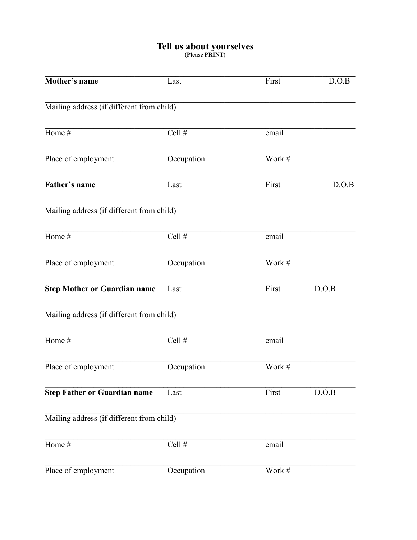# Tell us about yourselves<br>
(Please PRINT)

| Mother's name                             | Last       | First              | D.O.B |
|-------------------------------------------|------------|--------------------|-------|
| Mailing address (if different from child) |            |                    |       |
| Home $#$                                  | Cell $#$   | email              |       |
| Place of employment                       | Occupation | Work #             |       |
| Father's name                             | Last       | First              | D.O.B |
| Mailing address (if different from child) |            |                    |       |
| Home #                                    | Cell #     | email              |       |
| Place of employment                       | Occupation | Work #             |       |
| <b>Step Mother or Guardian name</b>       | Last       | First              | D.O.B |
| Mailing address (if different from child) |            |                    |       |
| Home $#$                                  | Cell $#$   | $emai\overline{1}$ |       |
| Place of employment                       | Occupation | Work #             |       |
| <b>Step Father or Guardian name</b>       | Last       | First              | D.O.B |
| Mailing address (if different from child) |            |                    |       |
| Home $#$                                  | Cell $#$   | email              |       |
| Place of employment                       | Occupation | Work #             |       |